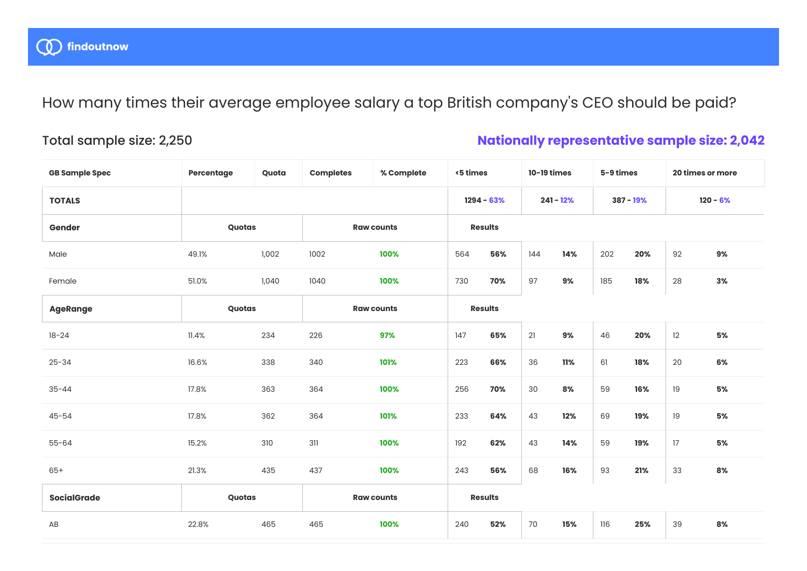How many times their average employee salary a top British company's CEO should be paid?

## Total sample size: 2,250

## **Nationally representative sample size: 2,042**

| <b>GB Sample Spec</b>  | Percentage | Quota | <b>Completes</b>  | % Complete   | <5 times       |                | 10-19 times |             | 5-9 times |            | 20 times or more |    |
|------------------------|------------|-------|-------------------|--------------|----------------|----------------|-------------|-------------|-----------|------------|------------------|----|
| <b>TOTALS</b>          |            |       |                   | $1294 - 63%$ |                | $241 - 12%$    |             | $387 - 19%$ |           | $120 - 6%$ |                  |    |
| Gender                 | Quotas     |       | <b>Raw counts</b> |              |                | <b>Results</b> |             |             |           |            |                  |    |
| Male                   | 49.1%      | 1,002 | 1002              | 100%         | 564            | 56%            | 144         | 14%         | 202       | 20%        | 92               | 9% |
| Female                 | 51.0%      | 1,040 | 1040              | 100%         | 730            | 70%            | 97          | 9%          | 185       | 18%        | 28               | 3% |
| <b>AgeRange</b>        | Quotas     |       | <b>Raw counts</b> |              | <b>Results</b> |                |             |             |           |            |                  |    |
| $18 - 24$              | 11.4%      | 234   | 226               | 97%          | 147            | 65%            | 21          | 9%          | 46        | 20%        | 12               | 5% |
| $25 - 34$              | 16.6%      | 338   | 340               | 101%         | 223            | 66%            | 36          | 11%         | 61        | 18%        | 20               | 6% |
| $35 - 44$              | 17.8%      | 363   | 364               | 100%         | 256            | 70%            | 30          | 8%          | 59        | 16%        | 19               | 5% |
| $45 - 54$              | 17.8%      | 362   | 364               | 101%         | 233            | 64%            | 43          | 12%         | 69        | 19%        | 19               | 5% |
| $55 - 64$              | 15.2%      | 310   | 311               | 100%         | 192            | 62%            | 43          | 14%         | 59        | 19%        | 17               | 5% |
| $65+$                  | 21.3%      | 435   | 437               | 100%         | 243            | 56%            | 68          | 16%         | 93        | 21%        | 33               | 8% |
| <b>SocialGrade</b>     | Quotas     |       | <b>Raw counts</b> |              | <b>Results</b> |                |             |             |           |            |                  |    |
| $\mathsf{A}\mathsf{B}$ | 22.8%      | 465   | 465               | 100%         | 240            | 52%            | 70          | 15%         | 116       | 25%        | 39               | 8% |